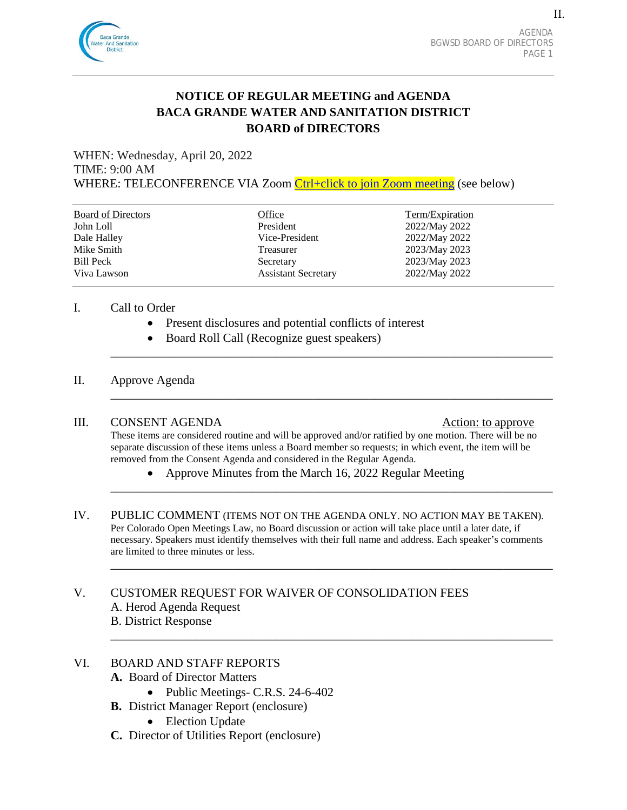

II.

# **NOTICE OF REGULAR MEETING and AGENDA BACA GRANDE WATER AND SANITATION DISTRICT BOARD of DIRECTORS**

WHEN: Wednesday, April 20, 2022 TIME: 9:00 AM WHERE: TELECONFERENCE VIA Zoom [Ctrl+click to join Zoom meeting](https://us02web.zoom.us/j/87269124750?pwd=ZmZVcTd2Y0UycW0vRmFWNS9wTU5WQT09) (see below)

| <b>Board of Directors</b> | Office                     | Term/Expiration |
|---------------------------|----------------------------|-----------------|
| John Loll                 | President                  | 2022/May 2022   |
| Dale Halley               | Vice-President             | 2022/May 2022   |
| Mike Smith                | Treasurer                  | 2023/May 2023   |
| Bill Peck                 | Secretary                  | 2023/May 2023   |
| Viva Lawson               | <b>Assistant Secretary</b> | 2022/May 2022   |

#### I. Call to Order

- Present disclosures and potential conflicts of interest
- Board Roll Call (Recognize guest speakers)

#### II. Approve Agenda

#### III. CONSENT AGENDA Action: to approve

These items are considered routine and will be approved and/or ratified by one motion. There will be no separate discussion of these items unless a Board member so requests; in which event, the item will be removed from the Consent Agenda and considered in the Regular Agenda.

\_\_\_\_\_\_\_\_\_\_\_\_\_\_\_\_\_\_\_\_\_\_\_\_\_\_\_\_\_\_\_\_\_\_\_\_\_\_\_\_\_\_\_\_\_\_\_\_\_\_\_\_\_\_\_\_\_\_\_\_\_\_\_\_\_\_\_\_\_\_\_\_

\_\_\_\_\_\_\_\_\_\_\_\_\_\_\_\_\_\_\_\_\_\_\_\_\_\_\_\_\_\_\_\_\_\_\_\_\_\_\_\_\_\_\_\_\_\_\_\_\_\_\_\_\_\_\_\_\_\_\_\_\_\_\_\_\_\_\_\_\_\_\_\_

\_\_\_\_\_\_\_\_\_\_\_\_\_\_\_\_\_\_\_\_\_\_\_\_\_\_\_\_\_\_\_\_\_\_\_\_\_\_\_\_\_\_\_\_\_\_\_\_\_\_\_\_\_\_\_\_\_\_\_\_\_\_\_\_\_\_\_\_\_\_\_\_

\_\_\_\_\_\_\_\_\_\_\_\_\_\_\_\_\_\_\_\_\_\_\_\_\_\_\_\_\_\_\_\_\_\_\_\_\_\_\_\_\_\_\_\_\_\_\_\_\_\_\_\_\_\_\_\_\_\_\_\_\_\_\_\_\_\_\_\_\_\_\_\_

\_\_\_\_\_\_\_\_\_\_\_\_\_\_\_\_\_\_\_\_\_\_\_\_\_\_\_\_\_\_\_\_\_\_\_\_\_\_\_\_\_\_\_\_\_\_\_\_\_\_\_\_\_\_\_\_\_\_\_\_\_\_\_\_\_\_\_\_\_\_\_\_

- Approve Minutes from the March 16, 2022 Regular Meeting
- IV. PUBLIC COMMENT (ITEMS NOT ON THE AGENDA ONLY. NO ACTION MAY BE TAKEN). Per Colorado Open Meetings Law, no Board discussion or action will take place until a later date, if necessary. Speakers must identify themselves with their full name and address. Each speaker's comments are limited to three minutes or less.

V. CUSTOMER REQUEST FOR WAIVER OF CONSOLIDATION FEES A. Herod Agenda Request B. District Response

# VI. BOARD AND STAFF REPORTS

- **A.** Board of Director Matters
	- Public Meetings- C.R.S. 24-6-402
- **B.** District Manager Report (enclosure)
	- Election Update
- **C.** Director of Utilities Report (enclosure)